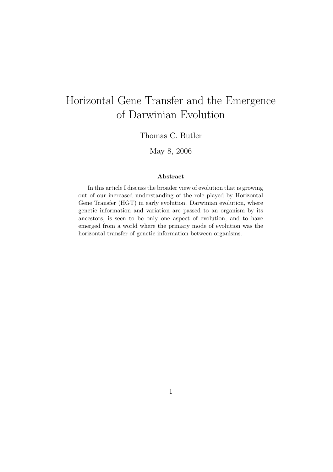# Horizontal Gene Transfer and the Emergence of Darwinian Evolution

Thomas C. Butler

May 8, 2006

#### Abstract

In this article I discuss the broader view of evolution that is growing out of our increased understanding of the role played by Horizontal Gene Transfer (HGT) in early evolution. Darwinian evolution, where genetic information and variation are passed to an organism by its ancestors, is seen to be only one aspect of evolution, and to have emerged from a world where the primary mode of evolution was the horizontal transfer of genetic information between organisms.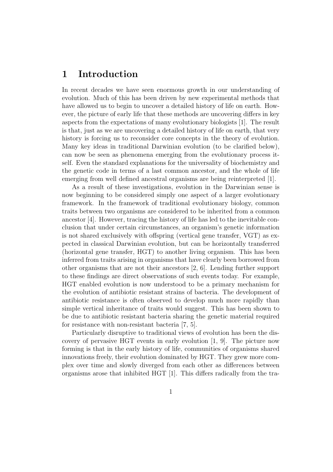### 1 Introduction

In recent decades we have seen enormous growth in our understanding of evolution. Much of this has been driven by new experimental methods that have allowed us to begin to uncover a detailed history of life on earth. However, the picture of early life that these methods are uncovering differs in key aspects from the expectations of many evolutionary biologists [1]. The result is that, just as we are uncovering a detailed history of life on earth, that very history is forcing us to reconsider core concepts in the theory of evolution. Many key ideas in traditional Darwinian evolution (to be clarified below), can now be seen as phenomena emerging from the evolutionary process itself. Even the standard explanations for the universality of biochemistry and the genetic code in terms of a last common ancestor, and the whole of life emerging from well defined ancestral organisms are being reinterpreted [1].

As a result of these investigations, evolution in the Darwinian sense is now beginning to be considered simply one aspect of a larger evolutionary framework. In the framework of traditional evolutionary biology, common traits between two organisms are considered to be inherited from a common ancestor [4]. However, tracing the history of life has led to the inevitable conclusion that under certain circumstances, an organism's genetic information is not shared exclusively with offspring (vertical gene transfer, VGT) as expected in classical Darwinian evolution, but can be horizontally transferred (horizontal gene transfer, HGT) to another living organism. This has been inferred from traits arising in organisms that have clearly been borrowed from other organisms that are not their ancestors [2, 6]. Lending further support to these findings are direct observations of such events today. For example, HGT enabled evolution is now understood to be a primary mechanism for the evolution of antibiotic resistant strains of bacteria. The development of antibiotic resistance is often observed to develop much more rapidly than simple vertical inheritance of traits would suggest. This has been shown to be due to antibiotic resistant bacteria sharing the genetic material required for resistance with non-resistant bacteria [7, 5].

Particularly disruptive to traditional views of evolution has been the discovery of pervasive HGT events in early evolution [1, 9]. The picture now forming is that in the early history of life, communities of organisms shared innovations freely, their evolution dominated by HGT. They grew more complex over time and slowly diverged from each other as differences between organisms arose that inhibited HGT [1]. This differs radically from the tra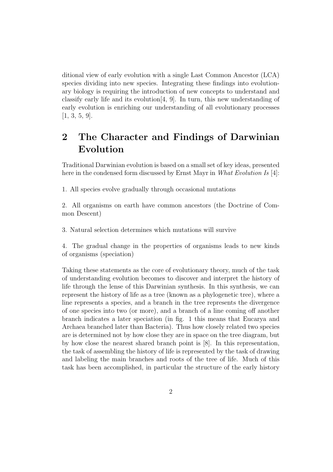ditional view of early evolution with a single Last Common Ancestor (LCA) species dividing into new species. Integrating these findings into evolutionary biology is requiring the introduction of new concepts to understand and classify early life and its evolution[4, 9]. In turn, this new understanding of early evolution is enriching our understanding of all evolutionary processes [1, 3, 5, 9].

## 2 The Character and Findings of Darwinian Evolution

Traditional Darwinian evolution is based on a small set of key ideas, presented here in the condensed form discussed by Ernst Mayr in What Evolution Is [4]:

1. All species evolve gradually through occasional mutations

2. All organisms on earth have common ancestors (the Doctrine of Common Descent)

3. Natural selection determines which mutations will survive

4. The gradual change in the properties of organisms leads to new kinds of organisms (speciation)

Taking these statements as the core of evolutionary theory, much of the task of understanding evolution becomes to discover and interpret the history of life through the lense of this Darwinian synthesis. In this synthesis, we can represent the history of life as a tree (known as a phylogenetic tree), where a line represents a species, and a branch in the tree represents the divergence of one species into two (or more), and a branch of a line coming off another branch indicates a later speciation (in fig. 1 this means that Eucarya and Archaea branched later than Bacteria). Thus how closely related two species are is determined not by how close they are in space on the tree diagram, but by how close the nearest shared branch point is [8]. In this representation, the task of assembling the history of life is represented by the task of drawing and labeling the main branches and roots of the tree of life. Much of this task has been accomplished, in particular the structure of the early history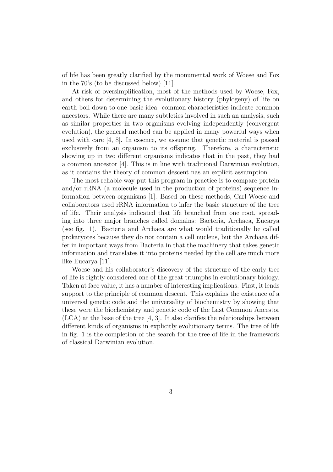of life has been greatly clarified by the monumental work of Woese and Fox in the 70's (to be discussed below) [11].

At risk of oversimplification, most of the methods used by Woese, Fox, and others for determining the evolutionary history (phylogeny) of life on earth boil down to one basic idea: common characteristics indicate common ancestors. While there are many subtleties involved in such an analysis, such as similar properties in two organisms evolving independently (convergent evolution), the general method can be applied in many powerful ways when used with care [4, 8]. In essence, we assume that genetic material is passed exclusively from an organism to its offspring. Therefore, a characteristic showing up in two different organisms indicates that in the past, they had a common ancestor [4]. This is in line with traditional Darwinian evolution, as it contains the theory of common descent nas an explicit assumption.

The most reliable way put this program in practice is to compare protein and/or rRNA (a molecule used in the production of proteins) sequence information between organisms [1]. Based on these methods, Carl Woese and collaborators used rRNA information to infer the basic structure of the tree of life. Their analysis indicated that life branched from one root, spreading into three major branches called domains: Bacteria, Archaea, Eucarya (see fig. 1). Bacteria and Archaea are what would traditionally be called prokaryotes because they do not contain a cell nucleus, but the Archaea differ in important ways from Bacteria in that the machinery that takes genetic information and translates it into proteins needed by the cell are much more like Eucarya [11].

Woese and his collaborator's discovery of the structure of the early tree of life is rightly considered one of the great triumphs in evolutionary biology. Taken at face value, it has a number of interesting implications. First, it lends support to the principle of common descent. This explains the existence of a universal genetic code and the universality of biochemistry by showing that these were the biochemistry and genetic code of the Last Common Ancestor (LCA) at the base of the tree [4, 3]. It also clarifies the relationships between different kinds of organisms in explicitly evolutionary terms. The tree of life in fig. 1 is the completion of the search for the tree of life in the framework of classical Darwinian evolution.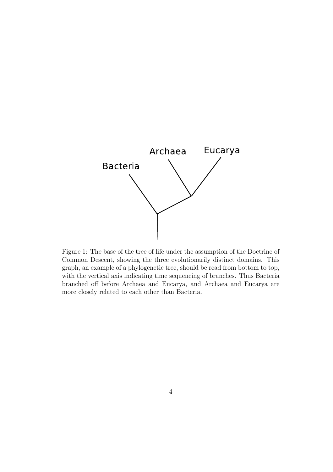

Figure 1: The base of the tree of life under the assumption of the Doctrine of Common Descent, showing the three evolutionarily distinct domains. This graph, an example of a phylogenetic tree, should be read from bottom to top, with the vertical axis indicating time sequencing of branches. Thus Bacteria branched off before Archaea and Eucarya, and Archaea and Eucarya are more closely related to each other than Bacteria.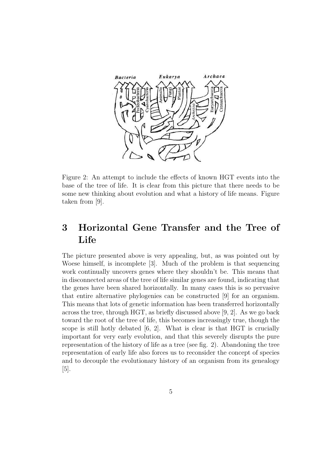

Figure 2: An attempt to include the effects of known HGT events into the base of the tree of life. It is clear from this picture that there needs to be some new thinking about evolution and what a history of life means. Figure taken from [9].

## 3 Horizontal Gene Transfer and the Tree of Life

The picture presented above is very appealing, but, as was pointed out by Woese himself, is incomplete [3]. Much of the problem is that sequencing work continually uncovers genes where they shouldn't be. This means that in disconnected areas of the tree of life similar genes are found, indicating that the genes have been shared horizontally. In many cases this is so pervasive that entire alternative phylogenies can be constructed [9] for an organism. This means that lots of genetic information has been transferred horizontally across the tree, through HGT, as briefly discussed above [9, 2]. As we go back toward the root of the tree of life, this becomes increasingly true, though the scope is still hotly debated [6, 2]. What is clear is that HGT is crucially important for very early evolution, and that this severely disrupts the pure representation of the history of life as a tree (see fig. 2). Abandoning the tree representation of early life also forces us to reconsider the concept of species and to decouple the evolutionary history of an organism from its genealogy [5].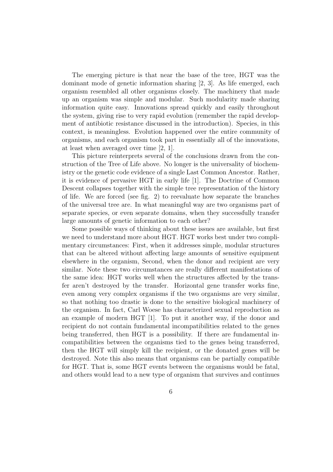The emerging picture is that near the base of the tree, HGT was the dominant mode of genetic information sharing [2, 3]. As life emerged, each organism resembled all other organisms closely. The machinery that made up an organism was simple and modular. Such modularity made sharing information quite easy. Innovations spread quickly and easily throughout the system, giving rise to very rapid evolution (remember the rapid development of antibiotic resistance discussed in the introduction). Species, in this context, is meaningless. Evolution happened over the entire community of organisms, and each organism took part in essentially all of the innovations, at least when averaged over time [2, 1].

This picture reinterprets several of the conclusions drawn from the construction of the Tree of Life above. No longer is the universality of biochemistry or the genetic code evidence of a single Last Common Ancestor. Rather, it is evidence of pervasive HGT in early life [1]. The Doctrine of Common Descent collapses together with the simple tree representation of the history of life. We are forced (see fig. 2) to reevaluate how separate the branches of the universal tree are. In what meaningful way are two organisms part of separate species, or even separate domains, when they successfully transfer large amounts of genetic information to each other?

Some possible ways of thinking about these issues are available, but first we need to understand more about HGT. HGT works best under two complimentary circumstances: First, when it addresses simple, modular structures that can be altered without affecting large amounts of sensitive equipment elsewhere in the organism, Second, when the donor and recipient are very similar. Note these two circumstances are really different manifestations of the same idea: HGT works well when the structures affected by the transfer aren't destroyed by the transfer. Horizontal gene transfer works fine, even among very complex organisms if the two organisms are very similar, so that nothing too drastic is done to the sensitive biological machinery of the organism. In fact, Carl Woese has characterized sexual reproduction as an example of modern HGT [1]. To put it another way, if the donor and recipient do not contain fundamental incompatibilities related to the genes being transferred, then HGT is a possibility. If there are fundamental incompatibilities between the organisms tied to the genes being transferred, then the HGT will simply kill the recipient, or the donated genes will be destroyed. Note this also means that organisms can be partially compatible for HGT. That is, some HGT events between the organisms would be fatal, and others would lead to a new type of organism that survives and continues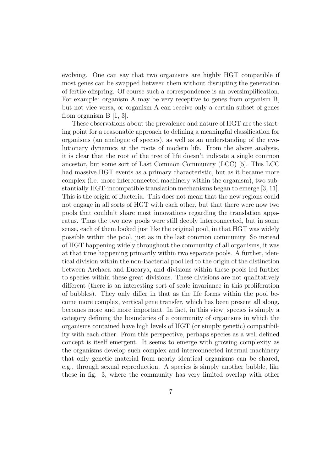evolving. One can say that two organisms are highly HGT compatible if most genes can be swapped between them without disrupting the generation of fertile offspring. Of course such a correspondence is an oversimplification. For example: organism A may be very receptive to genes from organism B, but not vice versa, or organism A can receive only a certain subset of genes from organism B [1, 3].

These observations about the prevalence and nature of HGT are the starting point for a reasonable approach to defining a meaningful classification for organisms (an analogue of species), as well as an understanding of the evolutionary dynamics at the roots of modern life. From the above analysis, it is clear that the root of the tree of life doesn't indicate a single common ancestor, but some sort of Last Common Community (LCC) [5]. This LCC had massive HGT events as a primary characteristic, but as it became more complex (i.e. more interconnected machinery within the organism), two substantially HGT-incompatible translation mechanisms began to emerge [3, 11]. This is the origin of Bacteria. This does not mean that the new regions could not engage in all sorts of HGT with each other, but that there were now two pools that couldn't share most innovations regarding the translation apparatus. Thus the two new pools were still deeply interconnected, but in some sense, each of them looked just like the original pool, in that HGT was widely possible within the pool, just as in the last common community. So instead of HGT happening widely throughout the community of all organisms, it was at that time happening primarily within two separate pools. A further, identical division within the non-Bacterial pool led to the origin of the distinction between Archaea and Eucarya, and divisions within these pools led further to species within these great divisions. These divisions are not qualitatively different (there is an interesting sort of scale invariance in this proliferation of bubbles). They only differ in that as the life forms within the pool become more complex, vertical gene transfer, which has been present all along, becomes more and more important. In fact, in this view, species is simply a category defining the boundaries of a community of organisms in which the organisms contained have high levels of HGT (or simply genetic) compatibility with each other. From this perspective, perhaps species as a well defined concept is itself emergent. It seems to emerge with growing complexity as the organisms develop such complex and interconnected internal machinery that only genetic material from nearly identical organisms can be shared, e.g., through sexual reproduction. A species is simply another bubble, like those in fig. 3, where the community has very limited overlap with other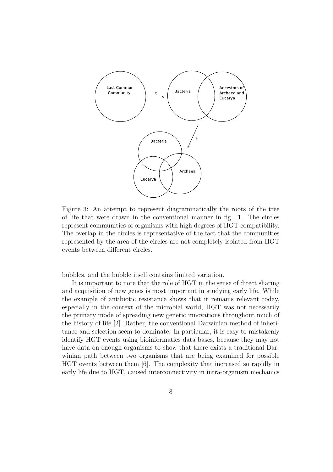

Figure 3: An attempt to represent diagrammatically the roots of the tree of life that were drawn in the conventional manner in fig. 1. The circles represent communities of organisms with high degrees of HGT compatibility. The overlap in the circles is representative of the fact that the communities represented by the area of the circles are not completely isolated from HGT events between different circles.

bubbles, and the bubble itself contains limited variation.

It is important to note that the role of HGT in the sense of direct sharing and acquisition of new genes is most important in studying early life. While the example of antibiotic resistance shows that it remains relevant today, especially in the context of the microbial world, HGT was not necessarily the primary mode of spreading new genetic innovations throughout much of the history of life [2]. Rather, the conventional Darwinian method of inheritance and selection seem to dominate. In particular, it is easy to mistakenly identify HGT events using bioinformatics data bases, because they may not have data on enough organisms to show that there exists a traditional Darwinian path between two organisms that are being examined for possible HGT events between them [6]. The complexity that increased so rapidly in early life due to HGT, caused interconnectivity in intra-organism mechanics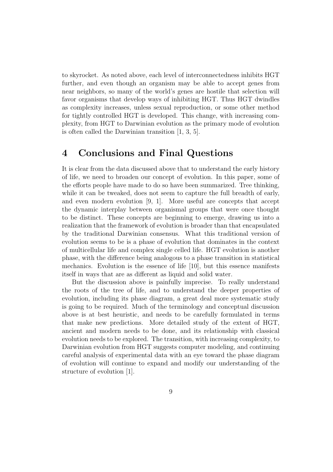to skyrocket. As noted above, each level of interconnectedness inhibits HGT further, and even though an organism may be able to accept genes from near neighbors, so many of the world's genes are hostile that selection will favor organisms that develop ways of inhibiting HGT. Thus HGT dwindles as complexity increases, unless sexual reproduction, or some other method for tightly controlled HGT is developed. This change, with increasing complexity, from HGT to Darwinian evolution as the primary mode of evolution is often called the Darwinian transition [1, 3, 5].

#### 4 Conclusions and Final Questions

It is clear from the data discussed above that to understand the early history of life, we need to broaden our concept of evolution. In this paper, some of the efforts people have made to do so have been summarized. Tree thinking, while it can be tweaked, does not seem to capture the full breadth of early, and even modern evolution [9, 1]. More useful are concepts that accept the dynamic interplay between organismal groups that were once thought to be distinct. These concepts are beginning to emerge, drawing us into a realization that the framework of evolution is broader than that encapsulated by the traditional Darwinian consensus. What this traditional version of evolution seems to be is a phase of evolution that dominates in the context of multicellular life and complex single celled life. HGT evolution is another phase, with the difference being analogous to a phase transition in statistical mechanics. Evolution is the essence of life [10], but this essence manifests itself in ways that are as different as liquid and solid water.

But the discussion above is painfully imprecise. To really understand the roots of the tree of life, and to understand the deeper properties of evolution, including its phase diagram, a great deal more systematic study is going to be required. Much of the terminology and conceptual discussion above is at best heuristic, and needs to be carefully formulated in terms that make new predictions. More detailed study of the extent of HGT, ancient and modern needs to be done, and its relationship with classical evolution needs to be explored. The transition, with increasing complexity, to Darwinian evolution from HGT suggests computer modeling, and continuing careful analysis of experimental data with an eye toward the phase diagram of evolution will continue to expand and modify our understanding of the structure of evolution [1].